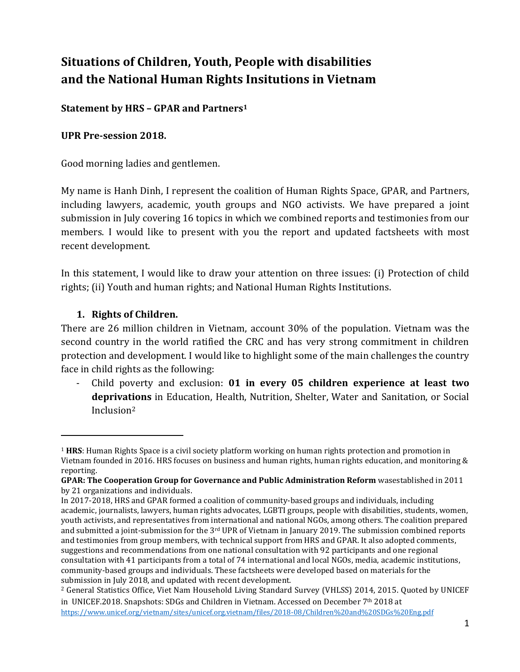# **Situations of Children, Youth, People with disabilities and the National Human Rights Insitutions in Vietnam**

**Statement by HRS – GPAR and Partners<sup>1</sup>**

### **UPR Pre-session 2018.**

Good morning ladies and gentlemen.

My name is Hanh Dinh, I represent the coalition of Human Rights Space, GPAR, and Partners, including lawyers, academic, youth groups and NGO activists. We have prepared a joint submission in July covering 16 topics in which we combined reports and testimonies from our members. I would like to present with you the report and updated factsheets with most recent development.

In this statement, I would like to draw your attention on three issues: (i) Protection of child rights; (ii) Youth and human rights; and National Human Rights Institutions.

## **1. Rights of Children.**

 $\overline{a}$ 

There are 26 million children in Vietnam, account 30% of the population. Vietnam was the second country in the world ratified the CRC and has very strong commitment in children protection and development. I would like to highlight some of the main challenges the country face in child rights as the following:

- Child poverty and exclusion: **01 in every 05 children experience at least two deprivations** in Education, Health, Nutrition, Shelter, Water and Sanitation, or Social Inclusion<sup>2</sup>

<sup>1</sup> **HRS**: Human Rights Space is a civil society platform working on human rights protection and promotion in Vietnam founded in 2016. HRS focuses on business and human rights, human rights education, and monitoring & reporting.

**GPAR: The Cooperation Group for Governance and Public Administration Reform** wasestablished in 2011 by 21 organizations and individuals.

In 2017-2018, HRS and GPAR formed a coalition of community-based groups and individuals, including academic, journalists, lawyers, human rights advocates, LGBTI groups, people with disabilities, students, women, youth activists, and representatives from international and national NGOs, among others. The coalition prepared and submitted a joint-submission for the  $3<sup>rd</sup>$  UPR of Vietnam in January 2019. The submission combined reports and testimonies from group members, with technical support from HRS and GPAR. It also adopted comments, suggestions and recommendations from one national consultation with 92 participants and one regional consultation with 41 participants from a total of 74 international and local NGOs, media, academic institutions, community-based groups and individuals. These factsheets were developed based on materials for the submission in July 2018, and updated with recent development.

<sup>2</sup> General Statistics Office, Viet Nam Household Living Standard Survey (VHLSS) 2014, 2015. Quoted by UNICEF in UNICEF.2018. Snapshots: SDGs and Children in Vietnam. Accessed on December 7th 2018 at <https://www.unicef.org/vietnam/sites/unicef.org.vietnam/files/2018-08/Children%20and%20SDGs%20Eng.pdf>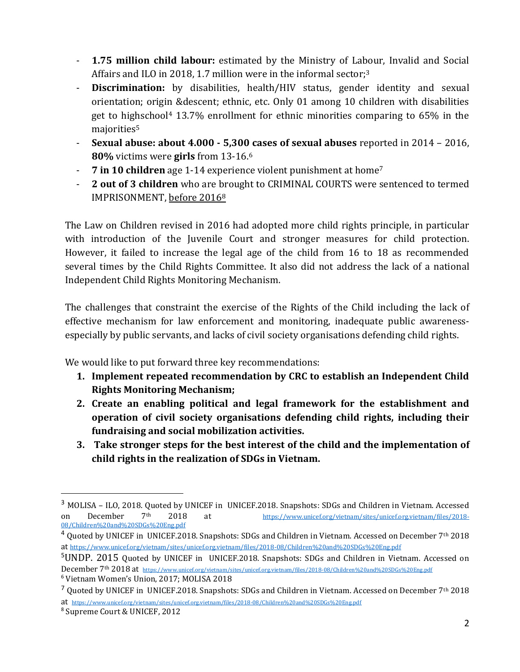- **1.75 million child labour:** estimated by the Ministry of Labour, Invalid and Social Affairs and ILO in 2018, 1.7 million were in the informal sector;<sup>3</sup>
- **Discrimination:** by disabilities, health/HIV status, gender identity and sexual orientation; origin &descent; ethnic, etc. Only 01 among 10 children with disabilities get to highschool<sup>4</sup> 13.7% enrollment for ethnic minorities comparing to 65% in the majorities<sup>5</sup>
- **Sexual abuse: about 4.000 - 5,300 cases of sexual abuses** reported in 2014 2016, **80%** victims were **girls** from 13-16. 6
- **7 in 10 children** age 1-14 experience violent punishment at home<sup>7</sup>
- 2 out of 3 children who are brought to CRIMINAL COURTS were sentenced to termed IMPRISONMENT, before 2016<sup>8</sup>

The Law on Children revised in 2016 had adopted more child rights principle, in particular with introduction of the Juvenile Court and stronger measures for child protection. However, it failed to increase the legal age of the child from 16 to 18 as recommended several times by the Child Rights Committee. It also did not address the lack of a national Independent Child Rights Monitoring Mechanism.

The challenges that constraint the exercise of the Rights of the Child including the lack of effective mechanism for law enforcement and monitoring, inadequate public awarenessespecially by public servants, and lacks of civil society organisations defending child rights.

We would like to put forward three key recommendations:

- **1. Implement repeated recommendation by CRC to establish an Independent Child Rights Monitoring Mechanism;**
- **2. Create an enabling political and legal framework for the establishment and operation of civil society organisations defending child rights, including their fundraising and social mobilization activities.**
- **3. Take stronger steps for the best interest of the child and the implementation of child rights in the realization of SDGs in Vietnam.**

 $\overline{a}$ 

<sup>3</sup> MOLISA – ILO, 2018. Quoted by UNICEF in UNICEF.2018. Snapshots: SDGs and Children in Vietnam. Accessed on December 7th 2018 at [https://www.unicef.org/vietnam/sites/unicef.org.vietnam/files/2018-](https://www.unicef.org/vietnam/sites/unicef.org.vietnam/files/2018-08/Children%20and%20SDGs%20Eng.pdf) [08/Children%20and%20SDGs%20Eng.pdf](https://www.unicef.org/vietnam/sites/unicef.org.vietnam/files/2018-08/Children%20and%20SDGs%20Eng.pdf)

<sup>4</sup> Quoted by UNICEF in UNICEF.2018. Snapshots: SDGs and Children in Vietnam. Accessed on December 7th 2018 at <https://www.unicef.org/vietnam/sites/unicef.org.vietnam/files/2018-08/Children%20and%20SDGs%20Eng.pdf>

<sup>5</sup>UNDP. 2015 Quoted by UNICEF in UNICEF.2018. Snapshots: SDGs and Children in Vietnam. Accessed on December 7th 2018 at <https://www.unicef.org/vietnam/sites/unicef.org.vietnam/files/2018-08/Children%20and%20SDGs%20Eng.pdf>

<sup>6</sup> Vietnam Women's Union, 2017; MOLISA 2018

 $^7$  Quoted by UNICEF in UNICEF.2018. Snapshots: SDGs and Children in Vietnam. Accessed on December 7<sup>th</sup> 2018 at <https://www.unicef.org/vietnam/sites/unicef.org.vietnam/files/2018-08/Children%20and%20SDGs%20Eng.pdf>

<sup>8</sup> Supreme Court & UNICEF, 2012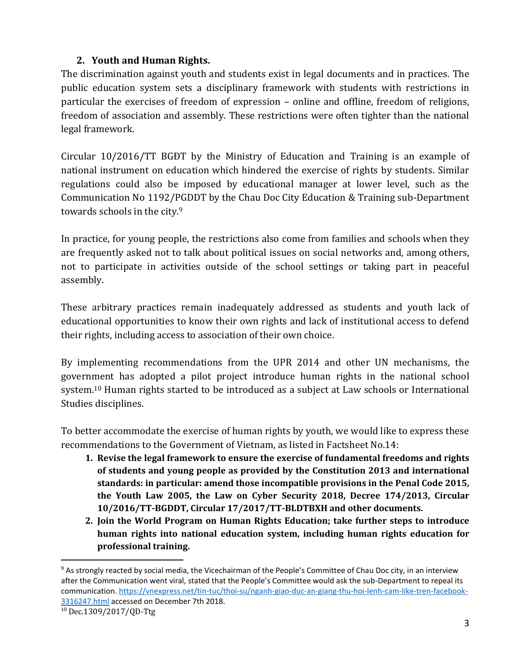## **2. Youth and Human Rights.**

The discrimination against youth and students exist in legal documents and in practices. The public education system sets a disciplinary framework with students with restrictions in particular the exercises of freedom of expression – online and offline, freedom of religions, freedom of association and assembly. These restrictions were often tighter than the national legal framework.

Circular 10/2016/TT BGĐT by the Ministry of Education and Training is an example of national instrument on education which hindered the exercise of rights by students. Similar regulations could also be imposed by educational manager at lower level, such as the Communication No 1192/PGDDT by the Chau Doc City Education & Training sub-Department towards schools in the city.<sup>9</sup>

In practice, for young people, the restrictions also come from families and schools when they are frequently asked not to talk about political issues on social networks and, among others, not to participate in activities outside of the school settings or taking part in peaceful assembly.

These arbitrary practices remain inadequately addressed as students and youth lack of educational opportunities to know their own rights and lack of institutional access to defend their rights, including access to association of their own choice.

By implementing recommendations from the UPR 2014 and other UN mechanisms, the government has adopted a pilot project introduce human rights in the national school system. <sup>10</sup> Human rights started to be introduced as a subject at Law schools or International Studies disciplines.

To better accommodate the exercise of human rights by youth, we would like to express these recommendations to the Government of Vietnam, as listed in Factsheet No.14:

- **1. Revise the legal framework to ensure the exercise of fundamental freedoms and rights of students and young people as provided by the Constitution 2013 and international standards: in particular: amend those incompatible provisions in the Penal Code 2015, the Youth Law 2005, the Law on Cyber Security 2018, Decree 174/2013, Circular 10/2016/TT-BGDDT, Circular 17/2017/TT-BLDTBXH and other documents.**
- **2. Join the World Program on Human Rights Education; take further steps to introduce human rights into national education system, including human rights education for professional training.**

 $\overline{a}$ 

<sup>&</sup>lt;sup>9</sup> As strongly reacted by social media, the Vicechairman of the People's Committee of Chau Doc city, in an interview after the Communication went viral, stated that the People's Committee would ask the sub-Department to repeal its communication. [https://vnexpress.net/tin-tuc/thoi-su/nganh-giao-duc-an-giang-thu-hoi-lenh-cam-like-tren-facebook-](https://vnexpress.net/tin-tuc/thoi-su/nganh-giao-duc-an-giang-thu-hoi-lenh-cam-like-tren-facebook-3316247.html)[3316247.html](https://vnexpress.net/tin-tuc/thoi-su/nganh-giao-duc-an-giang-thu-hoi-lenh-cam-like-tren-facebook-3316247.html) accessed on December 7th 2018.

<sup>10</sup> Dec.1309/2017/QD-Ttg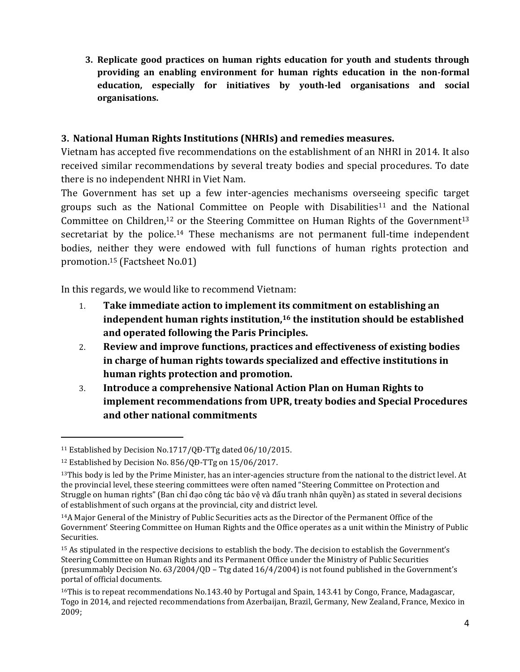**3. Replicate good practices on human rights education for youth and students through providing an enabling environment for human rights education in the non-formal education, especially for initiatives by youth-led organisations and social organisations.**

### **3. National Human Rights Institutions (NHRIs) and remedies measures.**

Vietnam has accepted five recommendations on the establishment of an NHRI in 2014. It also received similar recommendations by several treaty bodies and special procedures. To date there is no independent NHRI in Viet Nam.

The Government has set up a few inter-agencies mechanisms overseeing specific target groups such as the National Committee on People with Disabilities<sup>11</sup> and the National Committee on Children,<sup>12</sup> or the Steering Committee on Human Rights of the Government<sup>13</sup> secretariat by the police.<sup>14</sup> These mechanisms are not permanent full-time independent bodies, neither they were endowed with full functions of human rights protection and promotion.<sup>15</sup> (Factsheet No.01)

In this regards, we would like to recommend Vietnam:

- 1. **Take immediate action to implement its commitment on establishing an independent human rights institution,<sup>16</sup> the institution should be established and operated following the Paris Principles.**
- 2. **Review and improve functions, practices and effectiveness of existing bodies in charge of human rights towards specialized and effective institutions in human rights protection and promotion.**
- 3. **Introduce a comprehensive National Action Plan on Human Rights to implement recommendations from UPR, treaty bodies and Special Procedures and other national commitments**

 $\overline{a}$ 

<sup>&</sup>lt;sup>11</sup> Established by Decision No.1717/OĐ-TTg dated 06/10/2015.

<sup>12</sup> Established by Decision No. 856/QĐ-TTg on 15/06/2017.

 $13$ This body is led by the Prime Minister, has an inter-agencies structure from the national to the district level. At the provincial level, these steering committees were often named "Steering Committee on Protection and Struggle on human rights" (Ban chỉ đạo công tác bảo vệ và đấu tranh nhân quyền) as stated in several decisions of establishment of such organs at the provincial, city and district level.

<sup>14</sup>A Major General of the Ministry of Public Securities acts as the Director of the Permanent Office of the Government' Steering Committee on Human Rights and the Office operates as a unit within the Ministry of Public Securities.

<sup>15</sup> As stipulated in the respective decisions to establish the body. The decision to establish the Government's Steering Committee on Human Rights and its Permanent Office under the Ministry of Public Securities (presummably Decision No. 63/2004/QD – Ttg dated 16/4/2004) is not found published in the Government's portal of official documents.

<sup>16</sup>This is to repeat recommendations No.143.40 by Portugal and Spain, 143.41 by Congo, France, Madagascar, Togo in 2014, and rejected recommendations from Azerbaijan, Brazil, Germany, New Zealand, France, Mexico in 2009;